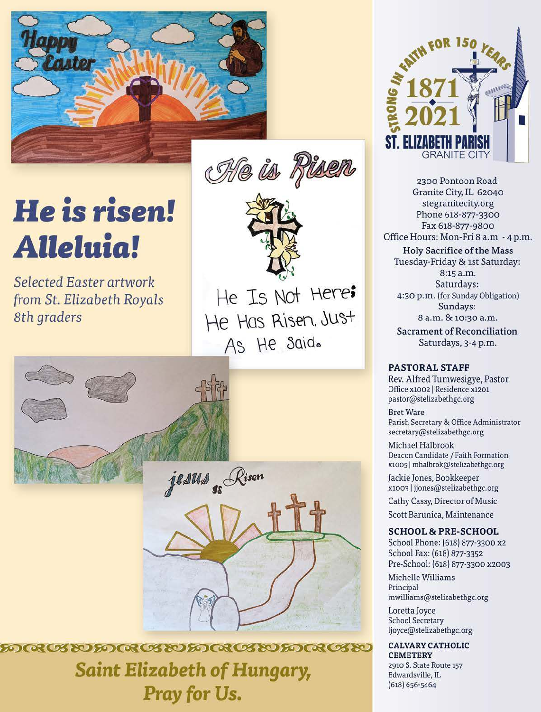

Ole is Riser

# He is risen! **Alleluia!**

Selected Easter artwork from St. Elizabeth Royals 8th graders

He Is Not Here; He Has Risen, Just As He Said.



<u>෨෬෭ඦඁඐ෨෬෭ඦ෩෨෬෭ඦ෩ඁ෨෬෭ඦ෩</u> **Saint Elizabeth of Hungary,** Pray for Us.



2300 Pontoon Road Granite City, IL 62040 stegranitecity.org Phone 618-877-3300 Fax 618-877-9800 Office Hours: Mon-Fri 8 a.m - 4 p.m.

**Holy Sacrifice of the Mass** Tuesday-Friday & 1st Saturday: 8:15 a.m. Saturdays: 4:30 p.m. (for Sunday Obligation) Sundays: 8 a.m. & 10:30 a.m.

**Sacrament of Reconciliation** Saturdays, 3-4 p.m.

#### **PASTORAL STAFF**

Rev. Alfred Tumwesigye, Pastor Office x1002 | Residence x1201 pastor@stelizabethgc.org

**Bret Ware** Parish Secretary & Office Administrator secretary@stelizabethgc.org

Michael Halbrook Deacon Candidate / Faith Formation x1005 | mhalbrok@stelizabethgc.org

Jackie Jones, Bookkeeper x1003 | jjones@stelizabethgc.org

Cathy Cassy, Director of Music

Scott Barunica, Maintenance

#### **SCHOOL & PRE-SCHOOL**

School Phone: (618) 877-3300 x2 School Fax: (618) 877-3352 Pre-School: (618) 877-3300 x2003

Michelle Williams Principal mwilliams@stelizabethgc.org

Loretta Joyce **School Secretary** ljoyce@stelizabethgc.org

### **CALVARY CATHOLIC**

**CEMETERY** 2910 S. State Route 157 Edwardsville, IL  $(618) 656 - 5464$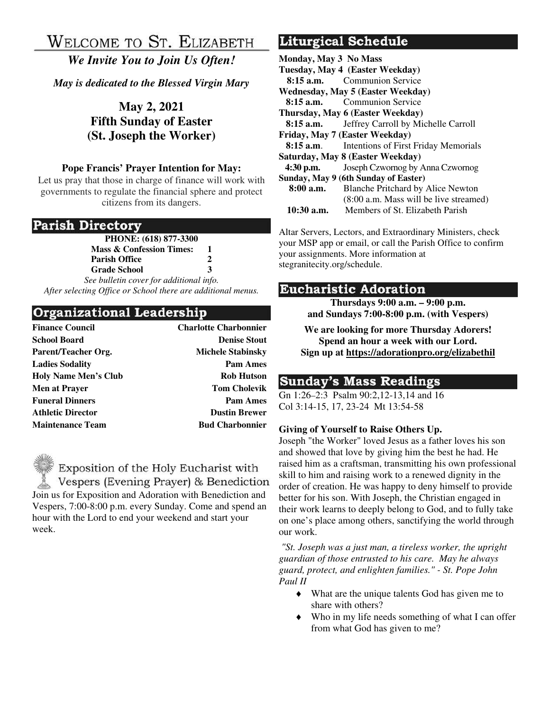# WELCOME TO ST. ELIZABETH

*We Invite You to Join Us Often!* 

*May is dedicated to the Blessed Virgin Mary* 

**May 2, 2021 Fifth Sunday of Easter (St. Joseph the Worker)** 

### **Pope Francis' Prayer Intention for May:**

Let us pray that those in charge of finance will work with governments to regulate the financial sphere and protect citizens from its dangers.

### Parish Directory

**PHONE: (618) 877-3300 Mass & Confession Times: 1 Parish Office 2 Grade School 3** 

*See bulletin cover for additional info. After selecting Office or School there are additional menus.*

# Organizational Leadership

| <b>Finance Council</b>      | <b>Charlotte Charbonnier</b> |
|-----------------------------|------------------------------|
| <b>School Board</b>         | <b>Denise Stout</b>          |
| Parent/Teacher Org.         | <b>Michele Stabinsky</b>     |
| <b>Ladies Sodality</b>      | <b>Pam Ames</b>              |
| <b>Holy Name Men's Club</b> | <b>Rob Hutson</b>            |
| <b>Men at Prayer</b>        | <b>Tom Cholevik</b>          |
| <b>Funeral Dinners</b>      | <b>Pam Ames</b>              |
| <b>Athletic Director</b>    | <b>Dustin Brewer</b>         |
| <b>Maintenance Team</b>     | <b>Bud Charbonnier</b>       |

Exposition of the Holy Eucharist with Vespers (Evening Prayer) & Benediction Join us for Exposition and Adoration with Benediction and Vespers, 7:00-8:00 p.m. every Sunday. Come and spend an hour with the Lord to end your weekend and start your week.

# Liturgical Schedule

| Monday, May 3 No Mass                |                                                       |  |  |
|--------------------------------------|-------------------------------------------------------|--|--|
|                                      | Tuesday, May 4 (Easter Weekday)                       |  |  |
|                                      | <b>8:15 a.m.</b> Communion Service                    |  |  |
|                                      | Wednesday, May 5 (Easter Weekday)                     |  |  |
|                                      | <b>8:15 a.m.</b> Communion Service                    |  |  |
| Thursday, May 6 (Easter Weekday)     |                                                       |  |  |
|                                      | <b>8:15 a.m.</b> Jeffrey Carroll by Michelle Carroll  |  |  |
| Friday, May 7 (Easter Weekday)       |                                                       |  |  |
|                                      | <b>8:15 a.m.</b> Intentions of First Friday Memorials |  |  |
| Saturday, May 8 (Easter Weekday)     |                                                       |  |  |
| $4:30$ p.m.                          | Joseph Czwornog by Anna Czwornog                      |  |  |
| Sunday, May 9 (6th Sunday of Easter) |                                                       |  |  |
| 8:00 a.m.                            | <b>Blanche Pritchard by Alice Newton</b>              |  |  |
|                                      | $(8:00 a.m. Mass will be live streamlined)$           |  |  |
| $10:30$ a.m.                         | Members of St. Elizabeth Parish                       |  |  |
|                                      |                                                       |  |  |

Altar Servers, Lectors, and Extraordinary Ministers, check your MSP app or email, or call the Parish Office to confirm your assignments. More information at stegranitecity.org/schedule.

### **Eucharistic Adoration**

**Thursdays 9:00 a.m. – 9:00 p.m. and Sundays 7:00-8:00 p.m. (with Vespers)** 

**We are looking for more Thursday Adorers! Spend an hour a week with our Lord. Sign up at https://adorationpro.org/elizabethil** 

# **Sunday's Mass Readings**

Gn 1:26–2:3 Psalm 90:2,12-13,14 and 16 Col 3:14-15, 17, 23-24 Mt 13:54-58

### **Giving of Yourself to Raise Others Up.**

Joseph "the Worker" loved Jesus as a father loves his son and showed that love by giving him the best he had. He raised him as a craftsman, transmitting his own professional skill to him and raising work to a renewed dignity in the order of creation. He was happy to deny himself to provide better for his son. With Joseph, the Christian engaged in their work learns to deeply belong to God, and to fully take on one's place among others, sanctifying the world through our work.

*"St. Joseph was a just man, a tireless worker, the upright guardian of those entrusted to his care. May he always guard, protect, and enlighten families." - St. Pope John Paul II* 

- What are the unique talents God has given me to share with others?
- Who in my life needs something of what I can offer from what God has given to me?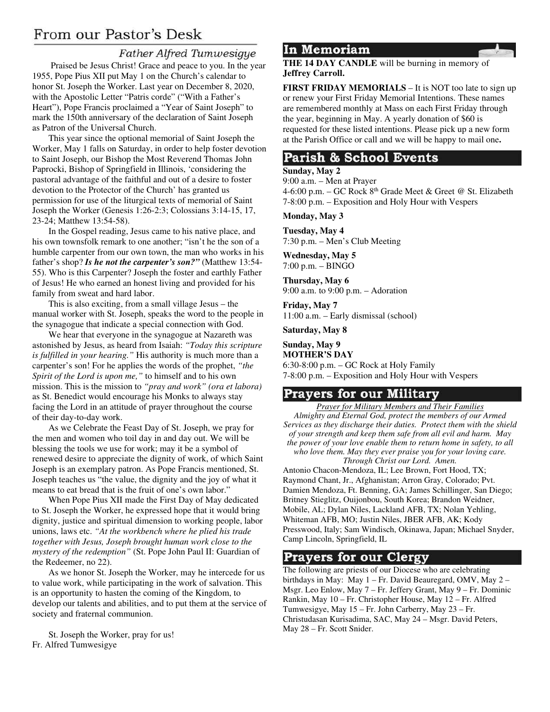# From our Pastor's Desk

### **Father Alfred Tumwesigye**

 Praised be Jesus Christ! Grace and peace to you. In the year 1955, Pope Pius XII put May 1 on the Church's calendar to honor St. Joseph the Worker. Last year on December 8, 2020, with the Apostolic Letter "Patris corde" ("With a Father's Heart"), Pope Francis proclaimed a "Year of Saint Joseph" to mark the 150th anniversary of the declaration of Saint Joseph as Patron of the Universal Church.

This year since the optional memorial of Saint Joseph the Worker, May 1 falls on Saturday, in order to help foster devotion to Saint Joseph, our Bishop the Most Reverend Thomas John Paprocki, Bishop of Springfield in Illinois, 'considering the pastoral advantage of the faithful and out of a desire to foster devotion to the Protector of the Church' has granted us permission for use of the liturgical texts of memorial of Saint Joseph the Worker (Genesis 1:26-2:3; Colossians 3:14-15, 17, 23-24; Matthew 13:54-58).

In the Gospel reading, Jesus came to his native place, and his own townsfolk remark to one another; "isn't he the son of a humble carpenter from our own town, the man who works in his father's shop? *Is he not the carpenter's son?"* (Matthew 13:54- 55). Who is this Carpenter? Joseph the foster and earthly Father of Jesus! He who earned an honest living and provided for his family from sweat and hard labor.

This is also exciting, from a small village Jesus – the manual worker with St. Joseph, speaks the word to the people in the synagogue that indicate a special connection with God.

We hear that everyone in the synagogue at Nazareth was astonished by Jesus, as heard from Isaiah: *"Today this scripture is fulfilled in your hearing."* His authority is much more than a carpenter's son! For he applies the words of the prophet, *"the Spirit of the Lord is upon me,"* to himself and to his own mission. This is the mission to *"pray and work" (ora et labora)* as St. Benedict would encourage his Monks to always stay facing the Lord in an attitude of prayer throughout the course of their day-to-day work.

As we Celebrate the Feast Day of St. Joseph, we pray for the men and women who toil day in and day out. We will be blessing the tools we use for work; may it be a symbol of renewed desire to appreciate the dignity of work, of which Saint Joseph is an exemplary patron. As Pope Francis mentioned, St. Joseph teaches us "the value, the dignity and the joy of what it means to eat bread that is the fruit of one's own labor."

When Pope Pius XII made the First Day of May dedicated to St. Joseph the Worker, he expressed hope that it would bring dignity, justice and spiritual dimension to working people, labor unions, laws etc. *"At the workbench where he plied his trade together with Jesus, Joseph brought human work close to the mystery of the redemption"* (St. Pope John Paul II: Guardian of the Redeemer, no 22).

As we honor St. Joseph the Worker, may he intercede for us to value work, while participating in the work of salvation. This is an opportunity to hasten the coming of the Kingdom, to develop our talents and abilities, and to put them at the service of society and fraternal communion.

St. Joseph the Worker, pray for us! Fr. Alfred Tumwesigye

### In Memoriam

**THE 14 DAY CANDLE** will be burning in memory of **Jeffrey Carroll.** 

**FIRST FRIDAY MEMORIALS** – It is NOT too late to sign up or renew your First Friday Memorial Intentions. These names are remembered monthly at Mass on each First Friday through the year, beginning in May. A yearly donation of \$60 is requested for these listed intentions. Please pick up a new form at the Parish Office or call and we will be happy to mail one**.** 

### Parish & School Events

#### **Sunday, May 2**

9:00 a.m. – Men at Prayer 4-6:00 p.m. – GC Rock  $8<sup>th</sup>$  Grade Meet & Greet @ St. Elizabeth 7-8:00 p.m. – Exposition and Holy Hour with Vespers

**Monday, May 3** 

**Tuesday, May 4**  7:30 p.m. – Men's Club Meeting

**Wednesday, May 5**  7:00 p.m. – BINGO

**Thursday, May 6**  9:00 a.m. to 9:00 p.m. – Adoration

**Friday, May 7**  11:00 a.m. – Early dismissal (school)

**Saturday, May 8** 

#### **Sunday, May 9 MOTHER'S DAY**  6:30-8:00 p.m. – GC Rock at Holy Family 7-8:00 p.m. – Exposition and Holy Hour with Vespers

### **Prayers for our Military**

*Prayer for Military Members and Their Families Almighty and Eternal God, protect the members of our Armed Services as they discharge their duties. Protect them with the shield of your strength and keep them safe from all evil and harm. May the power of your love enable them to return home in safety, to all who love them. May they ever praise you for your loving care. Through Christ our Lord. Amen.* 

Antonio Chacon-Mendoza, IL; Lee Brown, Fort Hood, TX; Raymond Chant, Jr., Afghanistan; Arron Gray, Colorado; Pvt. Damien Mendoza, Ft. Benning, GA; James Schillinger, San Diego; Britney Stieglitz, Ouijonbou, South Korea; Brandon Weidner, Mobile, AL; Dylan Niles, Lackland AFB, TX; Nolan Yehling, Whiteman AFB, MO; Justin Niles, JBER AFB, AK; Kody Presswood, Italy; Sam Windisch, Okinawa, Japan; Michael Snyder, Camp Lincoln, Springfield, IL

### **Prayers for our Clergy**

The following are priests of our Diocese who are celebrating birthdays in May: May 1 – Fr. David Beauregard, OMV, May 2 – Msgr. Leo Enlow, May 7 – Fr. Jeffery Grant, May 9 – Fr. Dominic Rankin, May 10 – Fr. Christopher House, May 12 – Fr. Alfred Tumwesigye, May 15 – Fr. John Carberry, May 23 – Fr. Christudasan Kurisadima, SAC, May 24 – Msgr. David Peters, May 28 – Fr. Scott Snider.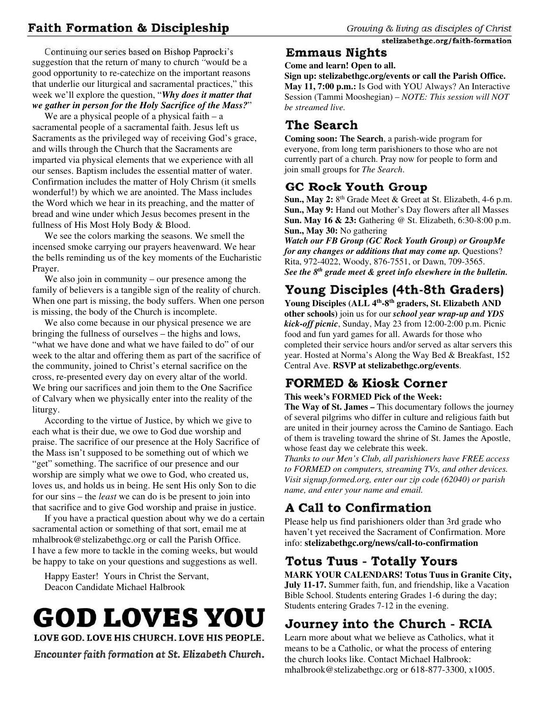# **Faith Formation & Discipleship**

Continuing our series based on Bishop Paprocki's suggestion that the return of many to church "would be a good opportunity to re-catechize on the important reasons that underlie our liturgical and sacramental practices," this week we'll explore the question, "*Why does it matter that we gather in person for the Holy Sacrifice of the Mass?*"

We are a physical people of a physical faith  $-a$ sacramental people of a sacramental faith. Jesus left us Sacraments as the privileged way of receiving God's grace, and wills through the Church that the Sacraments are imparted via physical elements that we experience with all our senses. Baptism includes the essential matter of water. Confirmation includes the matter of Holy Chrism (it smells wonderful!) by which we are anointed. The Mass includes the Word which we hear in its preaching, and the matter of bread and wine under which Jesus becomes present in the fullness of His Most Holy Body & Blood.

We see the colors marking the seasons. We smell the incensed smoke carrying our prayers heavenward. We hear the bells reminding us of the key moments of the Eucharistic Prayer.

We also join in community – our presence among the family of believers is a tangible sign of the reality of church. When one part is missing, the body suffers. When one person is missing, the body of the Church is incomplete.

We also come because in our physical presence we are bringing the fullness of ourselves – the highs and lows, "what we have done and what we have failed to do" of our week to the altar and offering them as part of the sacrifice of the community, joined to Christ's eternal sacrifice on the cross, re-presented every day on every altar of the world. We bring our sacrifices and join them to the One Sacrifice of Calvary when we physically enter into the reality of the liturgy.

According to the virtue of Justice, by which we give to each what is their due, we owe to God due worship and praise. The sacrifice of our presence at the Holy Sacrifice of the Mass isn't supposed to be something out of which we "get" something. The sacrifice of our presence and our worship are simply what we owe to God, who created us, loves us, and holds us in being. He sent His only Son to die for our sins – the *least* we can do is be present to join into that sacrifice and to give God worship and praise in justice.

If you have a practical question about why we do a certain sacramental action or something of that sort, email me at mhalbrook@stelizabethgc.org or call the Parish Office. I have a few more to tackle in the coming weeks, but would be happy to take on your questions and suggestions as well.

Happy Easter! Yours in Christ the Servant, Deacon Candidate Michael Halbrook

# **GOD LOVES YOU** LOVE GOD. LOVE HIS CHURCH. LOVE HIS PEOPLE.

Encounter faith formation at St. Elizabeth Church.

### stelizabethgc.org/faith-formation **Emmaus Nights**

**Come and learn! Open to all.** 

**Sign up: stelizabethgc.org/events or call the Parish Office. May 11, 7:00 p.m.:** Is God with YOU Always? An Interactive Session (Tammi Mooshegian) – *NOTE: This session will NOT be streamed live.*

# The Search

**Coming soon: The Search**, a parish-wide program for everyone, from long term parishioners to those who are not currently part of a church. Pray now for people to form and join small groups for *The Search*.

# GC Rock Youth Group

**Sun., May 2:** 8<sup>th</sup> Grade Meet & Greet at St. Elizabeth, 4-6 p.m. **Sun., May 9:** Hand out Mother's Day flowers after all Masses **Sun. May 16 & 23:** Gathering @ St. Elizabeth, 6:30-8:00 p.m. **Sun., May 30:** No gathering

*Watch our FB Group (GC Rock Youth Group) or GroupMe for any changes or additions that may come up.* Questions? Rita, 972-4022, Woody, 876-7551, or Dawn, 709-3565. *See the 8th grade meet & greet info elsewhere in the bulletin.* 

# Young Disciples (4th-8th Graders)

**Young Disciples (ALL 4th-8th graders, St. Elizabeth AND other schools)** join us for our *school year wrap-up and YDS kick-off picnic*, Sunday, May 23 from 12:00-2:00 p.m. Picnic food and fun yard games for all. Awards for those who completed their service hours and/or served as altar servers this year. Hosted at Norma's Along the Way Bed & Breakfast, 152 Central Ave. **RSVP at stelizabethgc.org/events**.

# **FORMED & Kiosk Corner**

### **This week's FORMED Pick of the Week:**

**The Way of St. James –** This documentary follows the journey of several pilgrims who differ in culture and religious faith but are united in their journey across the Camino de Santiago. Each of them is traveling toward the shrine of St. James the Apostle, whose feast day we celebrate this week.

*Thanks to our Men's Club, all parishioners have FREE access to FORMED on computers, streaming TVs, and other devices. Visit signup.formed.org, enter our zip code (62040) or parish name, and enter your name and email.* 

# A Call to Confirmation

Please help us find parishioners older than 3rd grade who haven't yet received the Sacrament of Confirmation. More info: **stelizabethgc.org/news/call-to-confirmation** 

# **Totus Tuus - Totally Yours**

**MARK YOUR CALENDARS! Totus Tuus in Granite City, July 11-17.** Summer faith, fun, and friendship, like a Vacation Bible School. Students entering Grades 1-6 during the day; Students entering Grades 7-12 in the evening.

# Journey into the Church - RCIA

Learn more about what we believe as Catholics, what it means to be a Catholic, or what the process of entering the church looks like. Contact Michael Halbrook: mhalbrook@stelizabethgc.org or 618-877-3300, x1005.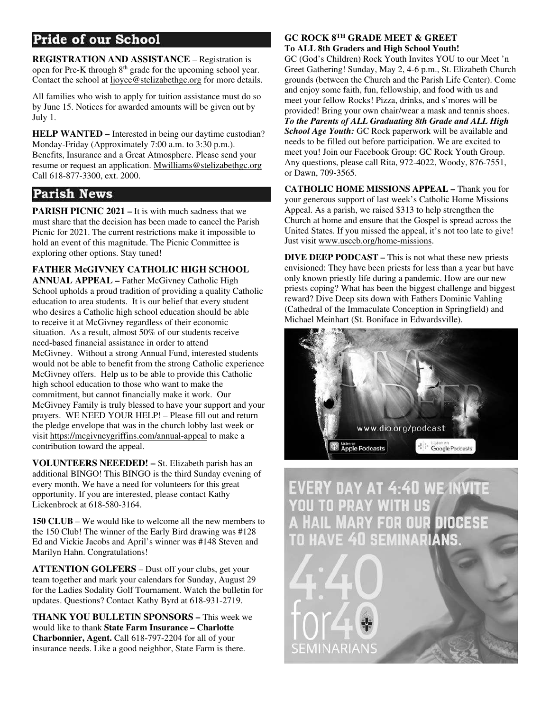# **Pride of our School**

**REGISTRATION AND ASSISTANCE** – Registration is open for Pre-K through 8<sup>th</sup> grade for the upcoming school year. Contact the school at ljoyce@stelizabethgc.org for more details.

All families who wish to apply for tuition assistance must do so by June 15. Notices for awarded amounts will be given out by July 1.

**HELP WANTED –** Interested in being our daytime custodian? Monday-Friday (Approximately 7:00 a.m. to 3:30 p.m.). Benefits, Insurance and a Great Atmosphere. Please send your resume or request an application. Mwilliams@stelizabethgc.org Call 618-877-3300, ext. 2000.

### **Parish News**

**PARISH PICNIC 2021 – It is with much sadness that we** must share that the decision has been made to cancel the Parish Picnic for 2021. The current restrictions make it impossible to hold an event of this magnitude. The Picnic Committee is exploring other options. Stay tuned!

**FATHER McGIVNEY CATHOLIC HIGH SCHOOL ANNUAL APPEAL –** Father McGivney Catholic High School upholds a proud tradition of providing a quality Catholic education to area students. It is our belief that every student who desires a Catholic high school education should be able to receive it at McGivney regardless of their economic situation. As a result, almost 50% of our students receive need-based financial assistance in order to attend McGivney. Without a strong Annual Fund, interested students would not be able to benefit from the strong Catholic experience McGivney offers. Help us to be able to provide this Catholic high school education to those who want to make the commitment, but cannot financially make it work. Our McGivney Family is truly blessed to have your support and your prayers. WE NEED YOUR HELP! – Please fill out and return the pledge envelope that was in the church lobby last week or visit https://mcgivneygriffins.com/annual-appeal to make a contribution toward the appeal.

**VOLUNTEERS NEEEDED! –** St. Elizabeth parish has an additional BINGO! This BINGO is the third Sunday evening of every month. We have a need for volunteers for this great opportunity. If you are interested, please contact Kathy Lickenbrock at 618-580-3164.

**150 CLUB** – We would like to welcome all the new members to the 150 Club! The winner of the Early Bird drawing was #128 Ed and Vickie Jacobs and April's winner was #148 Steven and Marilyn Hahn. Congratulations!

**ATTENTION GOLFERS** – Dust off your clubs, get your team together and mark your calendars for Sunday, August 29 for the Ladies Sodality Golf Tournament. Watch the bulletin for updates. Questions? Contact Kathy Byrd at 618-931-2719.

**THANK YOU BULLETIN SPONSORS –** This week we would like to thank **State Farm Insurance – Charlotte Charbonnier, Agent.** Call 618-797-2204 for all of your insurance needs. Like a good neighbor, State Farm is there.

#### **GC ROCK 8TH GRADE MEET & GREET To ALL 8th Graders and High School Youth!**

GC (God's Children) Rock Youth Invites YOU to our Meet 'n Greet Gathering! Sunday, May 2, 4-6 p.m., St. Elizabeth Church grounds (between the Church and the Parish Life Center). Come and enjoy some faith, fun, fellowship, and food with us and meet your fellow Rocks! Pizza, drinks, and s'mores will be provided! Bring your own chair/wear a mask and tennis shoes. *To the Parents of ALL Graduating 8th Grade and ALL High School Age Youth:* GC Rock paperwork will be available and needs to be filled out before participation. We are excited to meet you! Join our Facebook Group: GC Rock Youth Group. Any questions, please call Rita, 972-4022, Woody, 876-7551, or Dawn, 709-3565.

**CATHOLIC HOME MISSIONS APPEAL –** Thank you for your generous support of last week's Catholic Home Missions Appeal. As a parish, we raised \$313 to help strengthen the Church at home and ensure that the Gospel is spread across the United States. If you missed the appeal, it's not too late to give! Just visit www.usccb.org/home-missions.

**DIVE DEEP PODCAST –** This is not what these new priests envisioned: They have been priests for less than a year but have only known priestly life during a pandemic. How are our new priests coping? What has been the biggest challenge and biggest reward? Dive Deep sits down with Fathers Dominic Vahling (Cathedral of the Immaculate Conception in Springfield) and Michael Meinhart (St. Boniface in Edwardsville).



**EVERY DAY AT 4:40 WE INVITE OU TO PRAY WITH US AIL MARY FOR OUR DIOCESE SEMINARIANS** 

EMINARIANS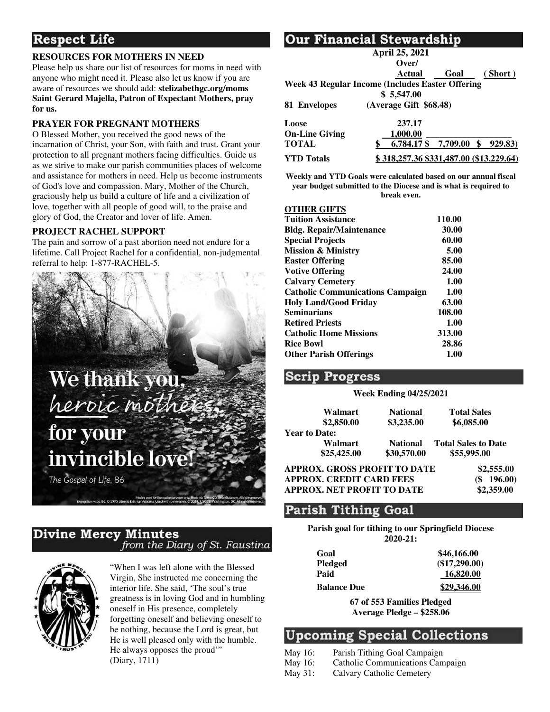# **Respect Life**

#### **RESOURCES FOR MOTHERS IN NEED**

Please help us share our list of resources for moms in need with anyone who might need it. Please also let us know if you are aware of resources we should add: **stelizabethgc.org/moms Saint Gerard Majella, Patron of Expectant Mothers, pray for us.**

#### **PRAYER FOR PREGNANT MOTHERS**

O Blessed Mother, you received the good news of the incarnation of Christ, your Son, with faith and trust. Grant your protection to all pregnant mothers facing difficulties. Guide us as we strive to make our parish communities places of welcome and assistance for mothers in need. Help us become instruments of God's love and compassion. Mary, Mother of the Church, graciously help us build a culture of life and a civilization of love, together with all people of good will, to the praise and glory of God, the Creator and lover of life. Amen.

#### **PROJECT RACHEL SUPPORT**

The pain and sorrow of a past abortion need not endure for a lifetime. Call Project Rachel for a confidential, non-judgmental referral to help: 1-877-RACHEL-5.



#### **Divine Mercy Minutes** from the Diary of St. Faustina



"When I was left alone with the Blessed Virgin, She instructed me concerning the interior life. She said, 'The soul's true greatness is in loving God and in humbling oneself in His presence, completely forgetting oneself and believing oneself to be nothing, because the Lord is great, but He is well pleased only with the humble. He always opposes the proud'" (Diary, 1711)

### Our Financial Stewardship

|                       | April 25, 2021                                   |      |         |
|-----------------------|--------------------------------------------------|------|---------|
|                       | Over/                                            |      |         |
|                       | Actual                                           | Goal | (Short) |
|                       | Week 43 Regular Income (Includes Easter Offering |      |         |
|                       | \$5,547.00                                       |      |         |
| 81 Envelopes          | (Average Gift \$68.48)                           |      |         |
| Loose                 | 237.17                                           |      |         |
| <b>On-Line Giving</b> | 1.000.00                                         |      |         |
| <b>TOTAL</b>          | 6.784.17 \$ 7.709.00                             |      | 929.83) |
| <b>YTD</b> Totals     | \$318,257.36 \$331,487.00 (\$13,229.64)          |      |         |

**Weekly and YTD Goals were calculated based on our annual fiscal year budget submitted to the Diocese and is what is required to break even.** 

#### **OTHER GIFTS**

| 0.111111011110                          |        |
|-----------------------------------------|--------|
| <b>Tuition Assistance</b>               | 110.00 |
| <b>Bldg. Repair/Maintenance</b>         | 30.00  |
| <b>Special Projects</b>                 | 60.00  |
| <b>Mission &amp; Ministry</b>           | 5.00   |
| <b>Easter Offering</b>                  | 85.00  |
| <b>Votive Offering</b>                  | 24.00  |
| <b>Calvary Cemetery</b>                 | 1.00   |
| <b>Catholic Communications Campaign</b> | 1.00   |
| <b>Holy Land/Good Friday</b>            | 63.00  |
| <b>Seminarians</b>                      | 108.00 |
| <b>Retired Priests</b>                  | 1.00   |
| <b>Catholic Home Missions</b>           | 313.00 |
| <b>Rice Bowl</b>                        | 28.86  |
| <b>Other Parish Offerings</b>           | 1.00   |
|                                         |        |

#### **Scrip Progress**

#### **Week Ending 04/25/2021**

|                                 | Walmart<br>\$2,850.00  | <b>National</b><br>\$3,235.00  | <b>Total Sales</b><br>\$6,085.00          |
|---------------------------------|------------------------|--------------------------------|-------------------------------------------|
| <b>Year to Date:</b>            |                        |                                |                                           |
|                                 | Walmart<br>\$25,425.00 | <b>National</b><br>\$30,570.00 | <b>Total Sales to Date</b><br>\$55,995.00 |
| APPROX. GROSS PROFIT TO DATE    |                        |                                | \$2,555.00                                |
| <b>APPROX. CREDIT CARD FEES</b> |                        |                                | 196.00                                    |

**APPROX. NET PROFIT TO DATE \$2,359.00** 

### **Parish Tithing Goal**

**Parish goal for tithing to our Springfield Diocese 2020-21:** 

| Goal               | \$46,166.00   |
|--------------------|---------------|
| <b>Pledged</b>     | (\$17,290.00) |
| Paid               | 16,820.00     |
| <b>Balance Due</b> | \$29,346.00   |

**67 of 553 Families Pledged Average Pledge – \$258.06** 

### **Upcoming Special Collections**

- May 16: Parish Tithing Goal Campaign
- May 16: Catholic Communications Campaign
- May 31: Calvary Catholic Cemetery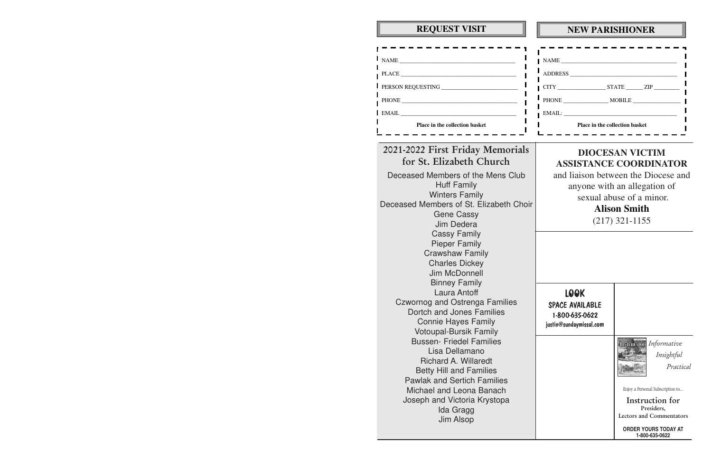| <b>REQUEST VISIT</b>                                                                                                                                                                                                                                                                                                                                                                                                       | <b>NEW PARISHIONER</b>                                                                                                                                                                                |                                                                                                                                                                                               |
|----------------------------------------------------------------------------------------------------------------------------------------------------------------------------------------------------------------------------------------------------------------------------------------------------------------------------------------------------------------------------------------------------------------------------|-------------------------------------------------------------------------------------------------------------------------------------------------------------------------------------------------------|-----------------------------------------------------------------------------------------------------------------------------------------------------------------------------------------------|
| Place in the collection basket                                                                                                                                                                                                                                                                                                                                                                                             | Place in the collection basket                                                                                                                                                                        |                                                                                                                                                                                               |
| 2021-2022 First Friday Memorials<br>for St. Elizabeth Church<br>Deceased Members of the Mens Club<br><b>Huff Family</b><br><b>Winters Family</b><br>Deceased Members of St. Elizabeth Choir<br><b>Gene Cassy</b><br>Jim Dedera<br><b>Cassy Family</b><br><b>Pieper Family</b><br><b>Crawshaw Family</b><br><b>Charles Dickey</b><br>Jim McDonnell                                                                          | <b>DIOCESAN VICTIM</b><br><b>ASSISTANCE COORDINATOR</b><br>and liaison between the Diocese and<br>anyone with an allegation of<br>sexual abuse of a minor.<br><b>Alison Smith</b><br>$(217)$ 321-1155 |                                                                                                                                                                                               |
| <b>Binney Family</b><br>Laura Antoff<br><b>Czwornog and Ostrenga Families</b><br>Dortch and Jones Families<br><b>Connie Hayes Family</b><br><b>Votoupal-Bursik Family</b><br><b>Bussen-Friedel Families</b><br>Lisa Dellamano<br><b>Richard A. Willaredt</b><br><b>Betty Hill and Families</b><br><b>Pawlak and Sertich Families</b><br>Michael and Leona Banach<br>Joseph and Victoria Krystopa<br>Ida Gragg<br>Jim Alsop | <b>LOOK</b><br>SPACE AVAILABLE<br>1-800-635-0622<br>justin@sundaymissal.com                                                                                                                           | Insuraction Informative<br>Insightful<br>Practical<br>Enjoy a Personal Subscription to<br>Instruction for<br>Presiders,<br>Lectors and Commentators<br>ORDER YOURS TODAY AT<br>1-800-635-0622 |